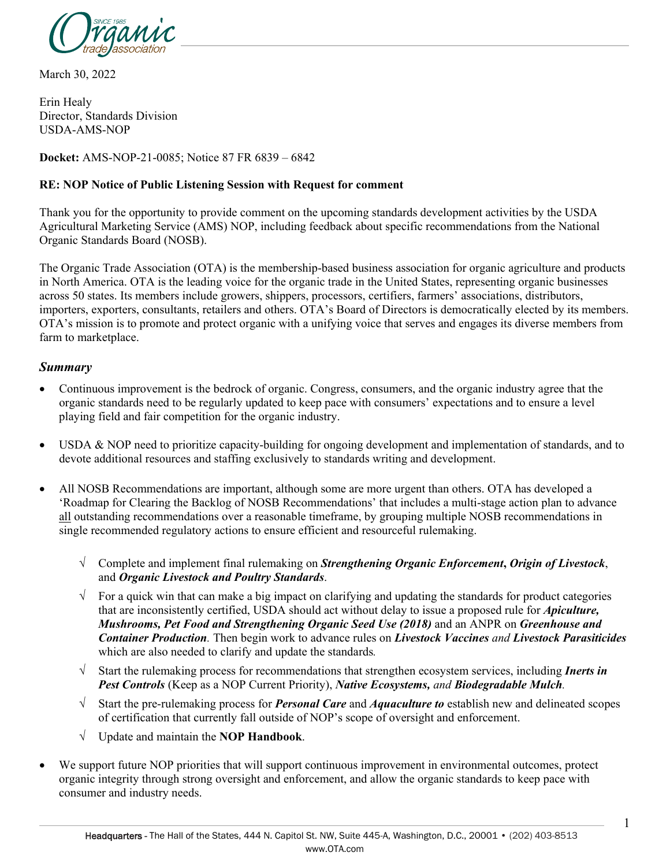

March 30, 2022

Erin Healy Director, Standards Division USDA-AMS-NOP

**Docket:** AMS-NOP-21-0085; Notice 87 FR 6839 – 6842

#### **RE: NOP Notice of Public Listening Session with Request for comment**

Thank you for the opportunity to provide comment on the upcoming standards development activities by the USDA Agricultural Marketing Service (AMS) NOP, including feedback about specific recommendations from the National Organic Standards Board (NOSB).

The Organic Trade Association (OTA) is the membership-based business association for organic agriculture and products in North America. OTA is the leading voice for the organic trade in the United States, representing organic businesses across 50 states. Its members include growers, shippers, processors, certifiers, farmers' associations, distributors, importers, exporters, consultants, retailers and others. OTA's Board of Directors is democratically elected by its members. OTA's mission is to promote and protect organic with a unifying voice that serves and engages its diverse members from farm to marketplace.

#### *Summary*

- Continuous improvement is the bedrock of organic. Congress, consumers, and the organic industry agree that the organic standards need to be regularly updated to keep pace with consumers' expectations and to ensure a level playing field and fair competition for the organic industry.
- USDA & NOP need to prioritize capacity-building for ongoing development and implementation of standards, and to devote additional resources and staffing exclusively to standards writing and development.
- All NOSB Recommendations are important, although some are more urgent than others. OTA has developed a 'Roadmap for Clearing the Backlog of NOSB Recommendations' that includes a multi-stage action plan to advance all outstanding recommendations over a reasonable timeframe, by grouping multiple NOSB recommendations in single recommended regulatory actions to ensure efficient and resourceful rulemaking.
	- √ Complete and implement final rulemaking on *Strengthening Organic Enforcement***,** *Origin of Livestock*, and *Organic Livestock and Poultry Standards*.
	- $\sqrt{\phantom{a}}$  For a quick win that can make a big impact on clarifying and updating the standards for product categories that are inconsistently certified, USDA should act without delay to issue a proposed rule for *Apiculture, Mushrooms, Pet Food and Strengthening Organic Seed Use (2018)* and an ANPR on *Greenhouse and Container Production.* Then begin work to advance rules on *Livestock Vaccines and Livestock Parasiticides* which are also needed to clarify and update the standards*.*
	- √ Start the rulemaking process for recommendations that strengthen ecosystem services, including *Inerts in Pest Controls* (Keep as a NOP Current Priority), *Native Ecosystems, and Biodegradable Mulch.*
	- √ Start the pre-rulemaking process for *Personal Care* and *Aquaculture to* establish new and delineated scopes of certification that currently fall outside of NOP's scope of oversight and enforcement.
	- √ Update and maintain the **NOP Handbook**.
- We support future NOP priorities that will support continuous improvement in environmental outcomes, protect organic integrity through strong oversight and enforcement, and allow the organic standards to keep pace with consumer and industry needs.

1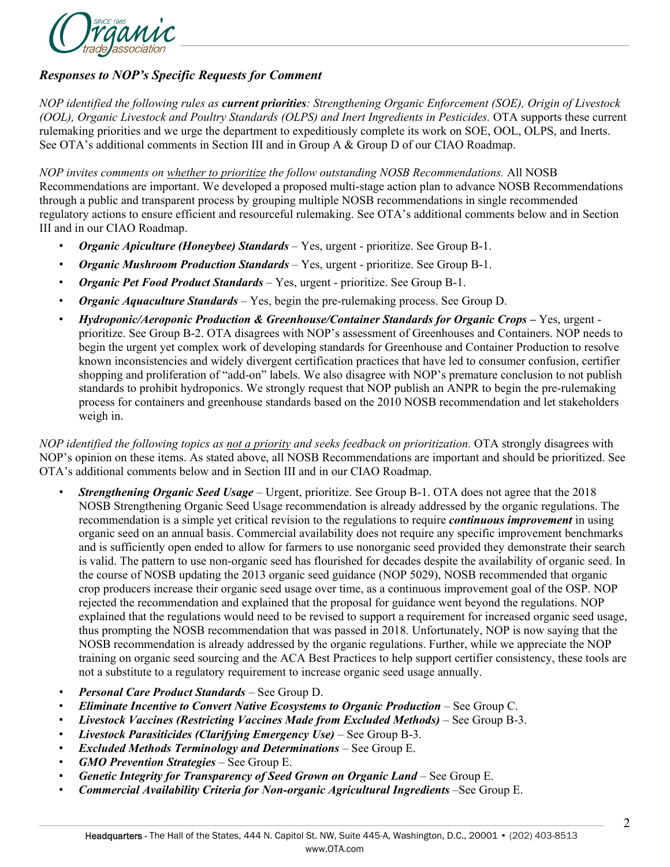

### *Responses to NOP's Specific Requests for Comment*

*NOP identified the following rules as current priorities: Strengthening Organic Enforcement (SOE), Origin of Livestock (OOL), Organic Livestock and Poultry Standards (OLPS) and Inert Ingredients in Pesticides.* OTA supports these current rulemaking priorities and we urge the department to expeditiously complete its work on SOE, OOL, OLPS, and Inerts. See OTA's additional comments in Section III and in Group A & Group D of our CIAO Roadmap.

*NOP invites comments on whether to prioritize the follow outstanding NOSB Recommendations.* All NOSB Recommendations are important. We developed a proposed multi-stage action plan to advance NOSB Recommendations through a public and transparent process by grouping multiple NOSB recommendations in single recommended regulatory actions to ensure efficient and resourceful rulemaking. See OTA's additional comments below and in Section III and in our CIAO Roadmap.

- *Organic Apiculture (Honeybee) Standards* Yes, urgent prioritize. See Group B-1.
- *Organic Mushroom Production Standards* Yes, urgent prioritize. See Group B-1.
- *Organic Pet Food Product Standards* Yes, urgent prioritize. See Group B-1.
- *Organic Aquaculture Standards* Yes, begin the pre-rulemaking process. See Group D.
- *Hydroponic/Aeroponic Production & Greenhouse/Container Standards for Organic Crops Yes, urgent* prioritize. See Group B-2. OTA disagrees with NOP's assessment of Greenhouses and Containers. NOP needs to begin the urgent yet complex work of developing standards for Greenhouse and Container Production to resolve known inconsistencies and widely divergent certification practices that have led to consumer confusion, certifier shopping and proliferation of "add-on" labels. We also disagree with NOP's premature conclusion to not publish standards to prohibit hydroponics. We strongly request that NOP publish an ANPR to begin the pre-rulemaking process for containers and greenhouse standards based on the 2010 NOSB recommendation and let stakeholders weigh in.

*NOP identified the following topics as not a priority and seeks feedback on prioritization.* OTA strongly disagrees with NOP's opinion on these items. As stated above, all NOSB Recommendations are important and should be prioritized. See OTA's additional comments below and in Section III and in our CIAO Roadmap.

- *Strengthening Organic Seed Usage* Urgent, prioritize. See Group B-1. OTA does not agree that the 2018 NOSB Strengthening Organic Seed Usage recommendation is already addressed by the organic regulations. The recommendation is a simple yet critical revision to the regulations to require *continuous improvement* in using organic seed on an annual basis. Commercial availability does not require any specific improvement benchmarks and is sufficiently open ended to allow for farmers to use nonorganic seed provided they demonstrate their search is valid. The pattern to use non-organic seed has flourished for decades despite the availability of organic seed. In the course of NOSB updating the 2013 organic seed guidance (NOP 5029), NOSB recommended that organic crop producers increase their organic seed usage over time, as a continuous improvement goal of the OSP. NOP rejected the recommendation and explained that the proposal for guidance went beyond the regulations. NOP explained that the regulations would need to be revised to support a requirement for increased organic seed usage, thus prompting the NOSB recommendation that was passed in 2018. Unfortunately, NOP is now saying that the NOSB recommendation is already addressed by the organic regulations. Further, while we appreciate the NOP training on organic seed sourcing and the ACA Best Practices to help support certifier consistency, these tools are not a substitute to a regulatory requirement to increase organic seed usage annually.
- *Personal Care Product Standards* See Group D.
- *Eliminate Incentive to Convert Native Ecosystems to Organic Production* See Group C.
- *Livestock Vaccines (Restricting Vaccines Made from Excluded Methods)* See Group B-3.
- *Livestock Parasiticides (Clarifying Emergency Use)* See Group B-3.
- *Excluded Methods Terminology and Determinations* See Group E.
- *GMO Prevention Strategies* See Group E.
- *Genetic Integrity for Transparency of Seed Grown on Organic Land* See Group E.
- *Commercial Availability Criteria for Non-organic Agricultural Ingredients* –See Group E.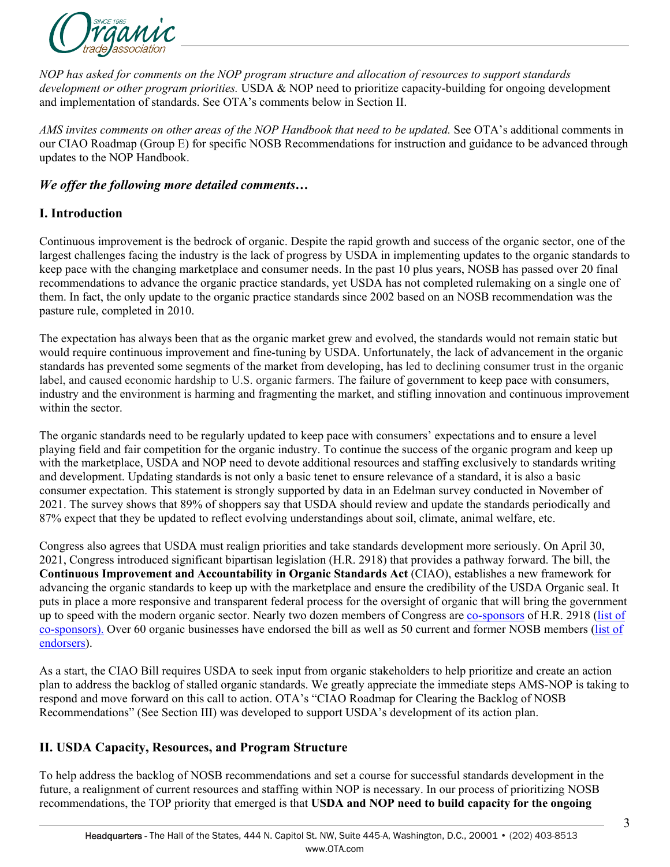

*NOP has asked for comments on the NOP program structure and allocation of resources to support standards development or other program priorities.* USDA & NOP need to prioritize capacity-building for ongoing development and implementation of standards. See OTA's comments below in Section II.

*AMS invites comments on other areas of the NOP Handbook that need to be updated.* See OTA's additional comments in our CIAO Roadmap (Group E) for specific NOSB Recommendations for instruction and guidance to be advanced through updates to the NOP Handbook.

### *We offer the following more detailed comments…*

### **I. Introduction**

Continuous improvement is the bedrock of organic. Despite the rapid growth and success of the organic sector, one of the largest challenges facing the industry is the lack of progress by USDA in implementing updates to the organic standards to keep pace with the changing marketplace and consumer needs. In the past 10 plus years, NOSB has passed over 20 final recommendations to advance the organic practice standards, yet USDA has not completed rulemaking on a single one of them. In fact, the only update to the organic practice standards since 2002 based on an NOSB recommendation was the pasture rule, completed in 2010.

The expectation has always been that as the organic market grew and evolved, the standards would not remain static but would require continuous improvement and fine-tuning by USDA. Unfortunately, the lack of advancement in the organic standards has prevented some segments of the market from developing, has led to declining consumer trust in the organic label, and caused economic hardship to U.S. organic farmers. The failure of government to keep pace with consumers, industry and the environment is harming and fragmenting the market, and stifling innovation and continuous improvement within the sector.

The organic standards need to be regularly updated to keep pace with consumers' expectations and to ensure a level playing field and fair competition for the organic industry. To continue the success of the organic program and keep up with the marketplace, USDA and NOP need to devote additional resources and staffing exclusively to standards writing and development. Updating standards is not only a basic tenet to ensure relevance of a standard, it is also a basic consumer expectation. This statement is strongly supported by data in an Edelman survey conducted in November of 2021. The survey shows that 89% of shoppers say that USDA should review and update the standards periodically and 87% expect that they be updated to reflect evolving understandings about soil, climate, animal welfare, etc.

Congress also agrees that USDA must realign priorities and take standards development more seriously. On April 30, 2021, Congress introduced significant bipartisan legislation (H.R. 2918) that provides a pathway forward. The bill, the **Continuous Improvement and Accountability in Organic Standards Act** (CIAO), establishes a new framework for advancing the organic standards to keep up with the marketplace and ensure the credibility of the USDA Organic seal. It puts in place a more responsive and transparent federal process for the oversight of organic that will bring the government up to speed with the modern organic sector. Nearly two dozen members of Congress are [co-sponsors](https://ota.com/sites/default/files/indexed_files/H.R.%202918%20Co-sponsors_2.pdf) of H.R. 2918 [\(list of](https://ota.com/sites/default/files/indexed_files/H.R.%202918%20Co-sponsors_2.pdf)  [co-sponsors\).](https://ota.com/sites/default/files/indexed_files/H.R.%202918%20Co-sponsors_2.pdf) Over 60 organic businesses have endorsed the bill as well as 50 current and former NOSB members [\(list of](https://ota.com/sites/default/files/indexed_files/H.R.%202918%20Endorsers_0.pdf)  [endorsers\)](https://ota.com/sites/default/files/indexed_files/H.R.%202918%20Endorsers_0.pdf).

As a start, the CIAO Bill requires USDA to seek input from organic stakeholders to help prioritize and create an action plan to address the backlog of stalled organic standards. We greatly appreciate the immediate steps AMS-NOP is taking to respond and move forward on this call to action. OTA's "CIAO Roadmap for Clearing the Backlog of NOSB Recommendations" (See Section III) was developed to support USDA's development of its action plan.

### **II. USDA Capacity, Resources, and Program Structure**

To help address the backlog of NOSB recommendations and set a course for successful standards development in the future, a realignment of current resources and staffing within NOP is necessary. In our process of prioritizing NOSB recommendations, the TOP priority that emerged is that **USDA and NOP need to build capacity for the ongoing**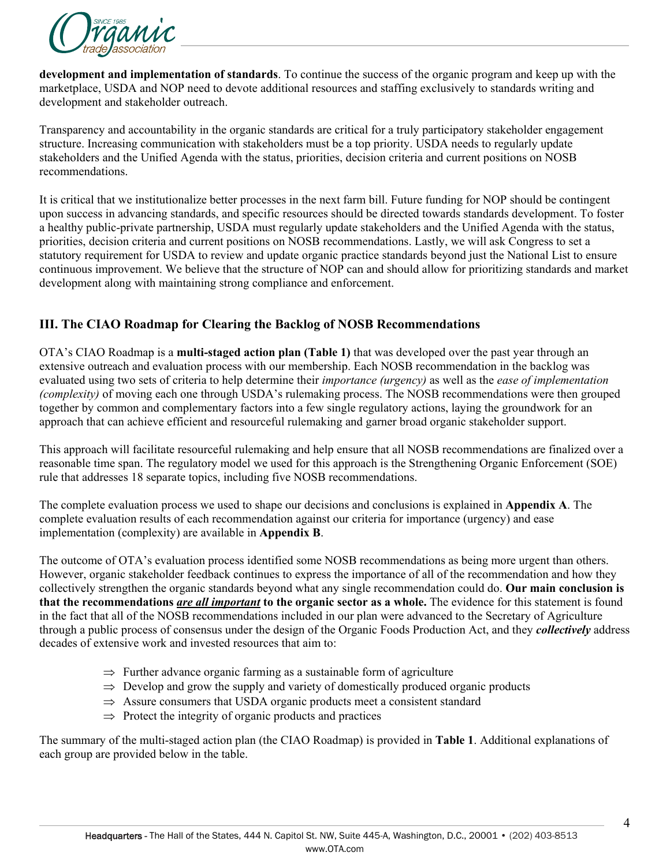

**development and implementation of standards**. To continue the success of the organic program and keep up with the marketplace, USDA and NOP need to devote additional resources and staffing exclusively to standards writing and development and stakeholder outreach.

Transparency and accountability in the organic standards are critical for a truly participatory stakeholder engagement structure. Increasing communication with stakeholders must be a top priority. USDA needs to regularly update stakeholders and the Unified Agenda with the status, priorities, decision criteria and current positions on NOSB recommendations.

It is critical that we institutionalize better processes in the next farm bill. Future funding for NOP should be contingent upon success in advancing standards, and specific resources should be directed towards standards development. To foster a healthy public-private partnership, USDA must regularly update stakeholders and the Unified Agenda with the status, priorities, decision criteria and current positions on NOSB recommendations. Lastly, we will ask Congress to set a statutory requirement for USDA to review and update organic practice standards beyond just the National List to ensure continuous improvement. We believe that the structure of NOP can and should allow for prioritizing standards and market development along with maintaining strong compliance and enforcement.

## **III. The CIAO Roadmap for Clearing the Backlog of NOSB Recommendations**

OTA's CIAO Roadmap is a **multi-staged action plan (Table 1)** that was developed over the past year through an extensive outreach and evaluation process with our membership. Each NOSB recommendation in the backlog was evaluated using two sets of criteria to help determine their *importance (urgency)* as well as the *ease of implementation (complexity)* of moving each one through USDA's rulemaking process. The NOSB recommendations were then grouped together by common and complementary factors into a few single regulatory actions, laying the groundwork for an approach that can achieve efficient and resourceful rulemaking and garner broad organic stakeholder support.

This approach will facilitate resourceful rulemaking and help ensure that all NOSB recommendations are finalized over a reasonable time span. The regulatory model we used for this approach is the Strengthening Organic Enforcement (SOE) rule that addresses 18 separate topics, including five NOSB recommendations.

The complete evaluation process we used to shape our decisions and conclusions is explained in **Appendix A**. The complete evaluation results of each recommendation against our criteria for importance (urgency) and ease implementation (complexity) are available in **Appendix B**.

The outcome of OTA's evaluation process identified some NOSB recommendations as being more urgent than others. However, organic stakeholder feedback continues to express the importance of all of the recommendation and how they collectively strengthen the organic standards beyond what any single recommendation could do. **Our main conclusion is that the recommendations** *are all important* **to the organic sector as a whole.** The evidence for this statement is found in the fact that all of the NOSB recommendations included in our plan were advanced to the Secretary of Agriculture through a public process of consensus under the design of the Organic Foods Production Act, and they *collectively* address decades of extensive work and invested resources that aim to:

- $\Rightarrow$  Further advance organic farming as a sustainable form of agriculture
- $\Rightarrow$  Develop and grow the supply and variety of domestically produced organic products
- $\Rightarrow$  Assure consumers that USDA organic products meet a consistent standard
- $\Rightarrow$  Protect the integrity of organic products and practices

The summary of the multi-staged action plan (the CIAO Roadmap) is provided in **Table 1**. Additional explanations of each group are provided below in the table.

4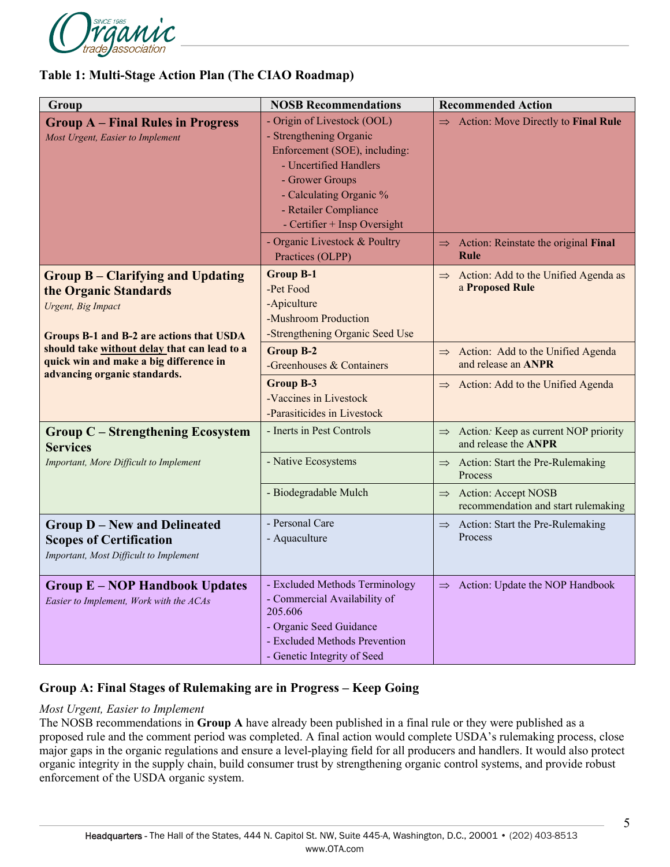

### **Table 1: Multi-Stage Action Plan (The CIAO Roadmap)**

| Group                                                                                                                                                                                                                                                         | <b>NOSB Recommendations</b>                                                                                                                                                                                              | <b>Recommended Action</b>                                                     |
|---------------------------------------------------------------------------------------------------------------------------------------------------------------------------------------------------------------------------------------------------------------|--------------------------------------------------------------------------------------------------------------------------------------------------------------------------------------------------------------------------|-------------------------------------------------------------------------------|
| <b>Group A – Final Rules in Progress</b><br>Most Urgent, Easier to Implement                                                                                                                                                                                  | - Origin of Livestock (OOL)<br>- Strengthening Organic<br>Enforcement (SOE), including:<br>- Uncertified Handlers<br>- Grower Groups<br>- Calculating Organic %<br>- Retailer Compliance<br>- Certifier + Insp Oversight | $\Rightarrow$ Action: Move Directly to Final Rule                             |
|                                                                                                                                                                                                                                                               | - Organic Livestock & Poultry<br>Practices (OLPP)                                                                                                                                                                        | $\Rightarrow$ Action: Reinstate the original Final<br><b>Rule</b>             |
| <b>Group B – Clarifying and Updating</b><br>the Organic Standards<br>Urgent, Big Impact<br>Groups B-1 and B-2 are actions that USDA<br>should take without delay that can lead to a<br>quick win and make a big difference in<br>advancing organic standards. | <b>Group B-1</b><br>-Pet Food<br>-Apiculture<br>-Mushroom Production<br>-Strengthening Organic Seed Use                                                                                                                  | $\Rightarrow$ Action: Add to the Unified Agenda as<br>a Proposed Rule         |
|                                                                                                                                                                                                                                                               | <b>Group B-2</b><br>-Greenhouses & Containers                                                                                                                                                                            | $\Rightarrow$ Action: Add to the Unified Agenda<br>and release an ANPR        |
|                                                                                                                                                                                                                                                               | <b>Group B-3</b><br>-Vaccines in Livestock<br>-Parasiticides in Livestock                                                                                                                                                | Action: Add to the Unified Agenda                                             |
| <b>Group C – Strengthening Ecosystem</b><br><b>Services</b><br>Important, More Difficult to Implement                                                                                                                                                         | - Inerts in Pest Controls                                                                                                                                                                                                | Action: Keep as current NOP priority<br>$\Rightarrow$<br>and release the ANPR |
|                                                                                                                                                                                                                                                               | - Native Ecosystems                                                                                                                                                                                                      | $\Rightarrow$ Action: Start the Pre-Rulemaking<br>Process                     |
|                                                                                                                                                                                                                                                               | - Biodegradable Mulch                                                                                                                                                                                                    | $\Rightarrow$ Action: Accept NOSB<br>recommendation and start rulemaking      |
| <b>Group D-New and Delineated</b><br><b>Scopes of Certification</b><br>Important, Most Difficult to Implement                                                                                                                                                 | - Personal Care<br>- Aquaculture                                                                                                                                                                                         | $\Rightarrow$ Action: Start the Pre-Rulemaking<br>Process                     |
| <b>Group E-NOP Handbook Updates</b><br>Easier to Implement, Work with the ACAs                                                                                                                                                                                | - Excluded Methods Terminology<br>- Commercial Availability of<br>205.606<br>- Organic Seed Guidance<br>- Excluded Methods Prevention<br>- Genetic Integrity of Seed                                                     | Action: Update the NOP Handbook<br>$\Rightarrow$                              |

### **Group A: Final Stages of Rulemaking are in Progress – Keep Going**

#### *Most Urgent, Easier to Implement*

The NOSB recommendations in **Group A** have already been published in a final rule or they were published as a proposed rule and the comment period was completed. A final action would complete USDA's rulemaking process, close major gaps in the organic regulations and ensure a level-playing field for all producers and handlers. It would also protect organic integrity in the supply chain, build consumer trust by strengthening organic control systems, and provide robust enforcement of the USDA organic system.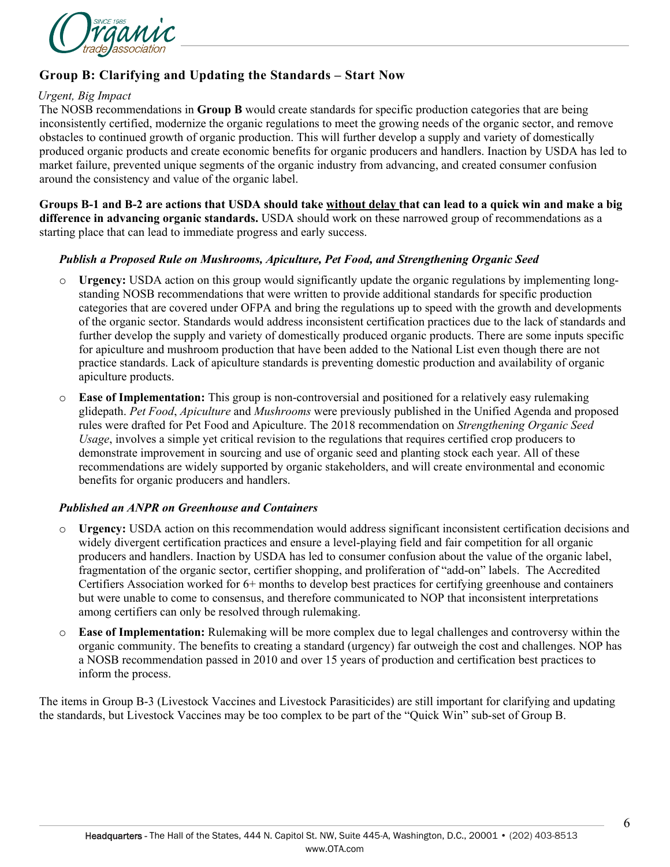

# **Group B: Clarifying and Updating the Standards – Start Now**

#### *Urgent, Big Impact*

The NOSB recommendations in **Group B** would create standards for specific production categories that are being inconsistently certified, modernize the organic regulations to meet the growing needs of the organic sector, and remove obstacles to continued growth of organic production. This will further develop a supply and variety of domestically produced organic products and create economic benefits for organic producers and handlers. Inaction by USDA has led to market failure, prevented unique segments of the organic industry from advancing, and created consumer confusion around the consistency and value of the organic label.

**Groups B-1 and B-2 are actions that USDA should take without delay that can lead to a quick win and make a big difference in advancing organic standards.** USDA should work on these narrowed group of recommendations as a starting place that can lead to immediate progress and early success.

#### *Publish a Proposed Rule on Mushrooms, Apiculture, Pet Food, and Strengthening Organic Seed*

- o **Urgency:** USDA action on this group would significantly update the organic regulations by implementing longstanding NOSB recommendations that were written to provide additional standards for specific production categories that are covered under OFPA and bring the regulations up to speed with the growth and developments of the organic sector. Standards would address inconsistent certification practices due to the lack of standards and further develop the supply and variety of domestically produced organic products. There are some inputs specific for apiculture and mushroom production that have been added to the National List even though there are not practice standards. Lack of apiculture standards is preventing domestic production and availability of organic apiculture products.
- o **Ease of Implementation:** This group is non-controversial and positioned for a relatively easy rulemaking glidepath. *Pet Food*, *Apiculture* and *Mushrooms* were previously published in the Unified Agenda and proposed rules were drafted for Pet Food and Apiculture. The 2018 recommendation on *Strengthening Organic Seed Usage*, involves a simple yet critical revision to the regulations that requires certified crop producers to demonstrate improvement in sourcing and use of organic seed and planting stock each year. All of these recommendations are widely supported by organic stakeholders, and will create environmental and economic benefits for organic producers and handlers.

#### *Published an ANPR on Greenhouse and Containers*

- o **Urgency:** USDA action on this recommendation would address significant inconsistent certification decisions and widely divergent certification practices and ensure a level-playing field and fair competition for all organic producers and handlers. Inaction by USDA has led to consumer confusion about the value of the organic label, fragmentation of the organic sector, certifier shopping, and proliferation of "add-on" labels. The Accredited Certifiers Association worked for 6+ months to develop best practices for certifying greenhouse and containers but were unable to come to consensus, and therefore communicated to NOP that inconsistent interpretations among certifiers can only be resolved through rulemaking.
- o **Ease of Implementation:** Rulemaking will be more complex due to legal challenges and controversy within the organic community. The benefits to creating a standard (urgency) far outweigh the cost and challenges. NOP has a NOSB recommendation passed in 2010 and over 15 years of production and certification best practices to inform the process.

The items in Group B-3 (Livestock Vaccines and Livestock Parasiticides) are still important for clarifying and updating the standards, but Livestock Vaccines may be too complex to be part of the "Quick Win" sub-set of Group B.

6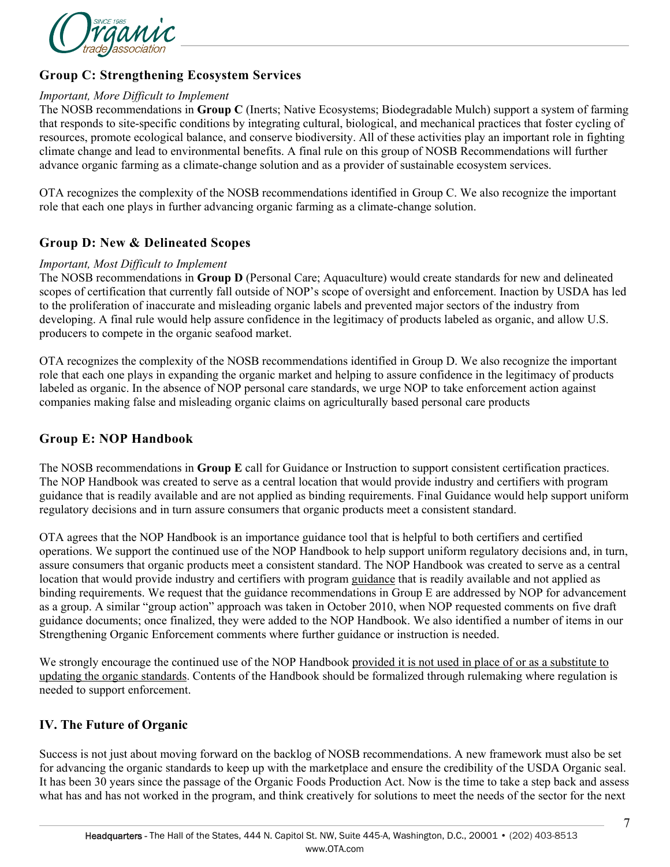

### **Group C: Strengthening Ecosystem Services**

#### *Important, More Difficult to Implement*

The NOSB recommendations in **Group C** (Inerts; Native Ecosystems; Biodegradable Mulch) support a system of farming that responds to site-specific conditions by integrating cultural, biological, and mechanical practices that foster cycling of resources, promote ecological balance, and conserve biodiversity. All of these activities play an important role in fighting climate change and lead to environmental benefits. A final rule on this group of NOSB Recommendations will further advance organic farming as a climate-change solution and as a provider of sustainable ecosystem services.

OTA recognizes the complexity of the NOSB recommendations identified in Group C. We also recognize the important role that each one plays in further advancing organic farming as a climate-change solution.

### **Group D: New & Delineated Scopes**

#### *Important, Most Difficult to Implement*

The NOSB recommendations in **Group D** (Personal Care; Aquaculture) would create standards for new and delineated scopes of certification that currently fall outside of NOP's scope of oversight and enforcement. Inaction by USDA has led to the proliferation of inaccurate and misleading organic labels and prevented major sectors of the industry from developing. A final rule would help assure confidence in the legitimacy of products labeled as organic, and allow U.S. producers to compete in the organic seafood market.

OTA recognizes the complexity of the NOSB recommendations identified in Group D. We also recognize the important role that each one plays in expanding the organic market and helping to assure confidence in the legitimacy of products labeled as organic. In the absence of NOP personal care standards, we urge NOP to take enforcement action against companies making false and misleading organic claims on agriculturally based personal care products

### **Group E: NOP Handbook**

The NOSB recommendations in **Group E** call for Guidance or Instruction to support consistent certification practices. The NOP Handbook was created to serve as a central location that would provide industry and certifiers with program guidance that is readily available and are not applied as binding requirements. Final Guidance would help support uniform regulatory decisions and in turn assure consumers that organic products meet a consistent standard.

OTA agrees that the NOP Handbook is an importance guidance tool that is helpful to both certifiers and certified operations. We support the continued use of the NOP Handbook to help support uniform regulatory decisions and, in turn, assure consumers that organic products meet a consistent standard. The NOP Handbook was created to serve as a central location that would provide industry and certifiers with program guidance that is readily available and not applied as binding requirements. We request that the guidance recommendations in Group E are addressed by NOP for advancement as a group. A similar "group action" approach was taken in October 2010, when NOP requested comments on five draft guidance documents; once finalized, they were added to the NOP Handbook. We also identified a number of items in our Strengthening Organic Enforcement comments where further guidance or instruction is needed.

We strongly encourage the continued use of the NOP Handbook provided it is not used in place of or as a substitute to updating the organic standards. Contents of the Handbook should be formalized through rulemaking where regulation is needed to support enforcement.

#### **IV. The Future of Organic**

Success is not just about moving forward on the backlog of NOSB recommendations. A new framework must also be set for advancing the organic standards to keep up with the marketplace and ensure the credibility of the USDA Organic seal. It has been 30 years since the passage of the Organic Foods Production Act. Now is the time to take a step back and assess what has and has not worked in the program, and think creatively for solutions to meet the needs of the sector for the next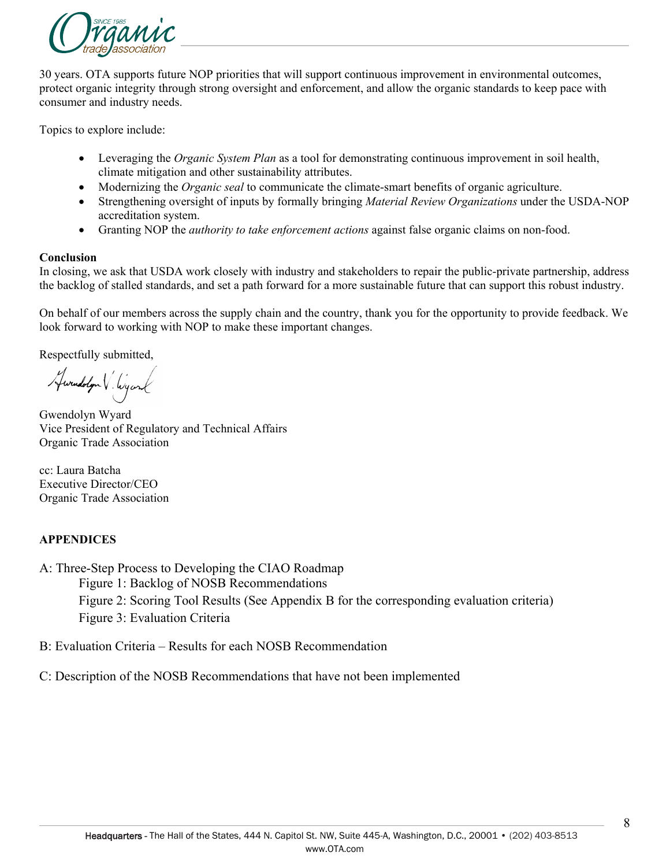

30 years. OTA supports future NOP priorities that will support continuous improvement in environmental outcomes, protect organic integrity through strong oversight and enforcement, and allow the organic standards to keep pace with consumer and industry needs.

Topics to explore include:

- Leveraging the *Organic System Plan* as a tool for demonstrating continuous improvement in soil health, climate mitigation and other sustainability attributes.
- Modernizing the *Organic seal* to communicate the climate-smart benefits of organic agriculture.
- Strengthening oversight of inputs by formally bringing *Material Review Organizations* under the USDA-NOP accreditation system.
- Granting NOP the *authority to take enforcement actions* against false organic claims on non-food.

#### **Conclusion**

In closing, we ask that USDA work closely with industry and stakeholders to repair the public-private partnership, address the backlog of stalled standards, and set a path forward for a more sustainable future that can support this robust industry.

On behalf of our members across the supply chain and the country, thank you for the opportunity to provide feedback. We look forward to working with NOP to make these important changes.

Respectfully submitted,

Awrendolyn V. Wyank

Gwendolyn Wyard Vice President of Regulatory and Technical Affairs Organic Trade Association

cc: Laura Batcha Executive Director/CEO Organic Trade Association

#### **APPENDICES**

A: Three-Step Process to Developing the CIAO Roadmap Figure 1: Backlog of NOSB Recommendations Figure 2: Scoring Tool Results (See Appendix B for the corresponding evaluation criteria) Figure 3: Evaluation Criteria

B: Evaluation Criteria – Results for each NOSB Recommendation

C: Description of the NOSB Recommendations that have not been implemented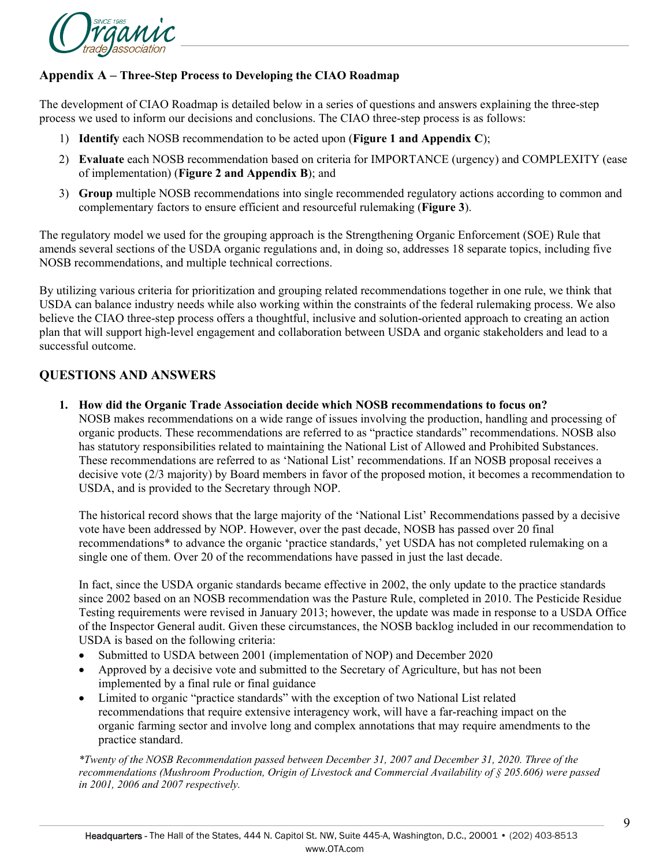

### **Appendix A – Three-Step Process to Developing the CIAO Roadmap**

The development of CIAO Roadmap is detailed below in a series of questions and answers explaining the three-step process we used to inform our decisions and conclusions. The CIAO three-step process is as follows:

- 1) **Identify** each NOSB recommendation to be acted upon (**Figure 1 and Appendix C**);
- 2) **Evaluate** each NOSB recommendation based on criteria for IMPORTANCE (urgency) and COMPLEXITY (ease of implementation) (**Figure 2 and Appendix B**); and
- 3) **Group** multiple NOSB recommendations into single recommended regulatory actions according to common and complementary factors to ensure efficient and resourceful rulemaking (**Figure 3**).

The regulatory model we used for the grouping approach is the Strengthening Organic Enforcement (SOE) Rule that amends several sections of the USDA organic regulations and, in doing so, addresses 18 separate topics, including five NOSB recommendations, and multiple technical corrections.

By utilizing various criteria for prioritization and grouping related recommendations together in one rule, we think that USDA can balance industry needs while also working within the constraints of the federal rulemaking process. We also believe the CIAO three-step process offers a thoughtful, inclusive and solution-oriented approach to creating an action plan that will support high-level engagement and collaboration between USDA and organic stakeholders and lead to a successful outcome.

### **QUESTIONS AND ANSWERS**

**1. How did the Organic Trade Association decide which NOSB recommendations to focus on?**

NOSB makes recommendations on a wide range of issues involving the production, handling and processing of organic products. These recommendations are referred to as "practice standards" recommendations. NOSB also has statutory responsibilities related to maintaining the National List of Allowed and Prohibited Substances. These recommendations are referred to as 'National List' recommendations. If an NOSB proposal receives a decisive vote (2/3 majority) by Board members in favor of the proposed motion, it becomes a recommendation to USDA, and is provided to the Secretary through NOP.

The historical record shows that the large majority of the 'National List' Recommendations passed by a decisive vote have been addressed by NOP. However, over the past decade, NOSB has passed over 20 final recommendations\* to advance the organic 'practice standards,' yet USDA has not completed rulemaking on a single one of them. Over 20 of the recommendations have passed in just the last decade.

In fact, since the USDA organic standards became effective in 2002, the only update to the practice standards since 2002 based on an NOSB recommendation was the Pasture Rule, completed in 2010. The Pesticide Residue Testing requirements were revised in January 2013; however, the update was made in response to a USDA Office of the Inspector General audit. Given these circumstances, the NOSB backlog included in our recommendation to USDA is based on the following criteria:

- Submitted to USDA between 2001 (implementation of NOP) and December 2020
- Approved by a decisive vote and submitted to the Secretary of Agriculture, but has not been implemented by a final rule or final guidance
- Limited to organic "practice standards" with the exception of two National List related recommendations that require extensive interagency work, will have a far-reaching impact on the organic farming sector and involve long and complex annotations that may require amendments to the practice standard.

*\*Twenty of the NOSB Recommendation passed between December 31, 2007 and December 31, 2020. Three of the recommendations (Mushroom Production, Origin of Livestock and Commercial Availability of § 205.606) were passed in 2001, 2006 and 2007 respectively.*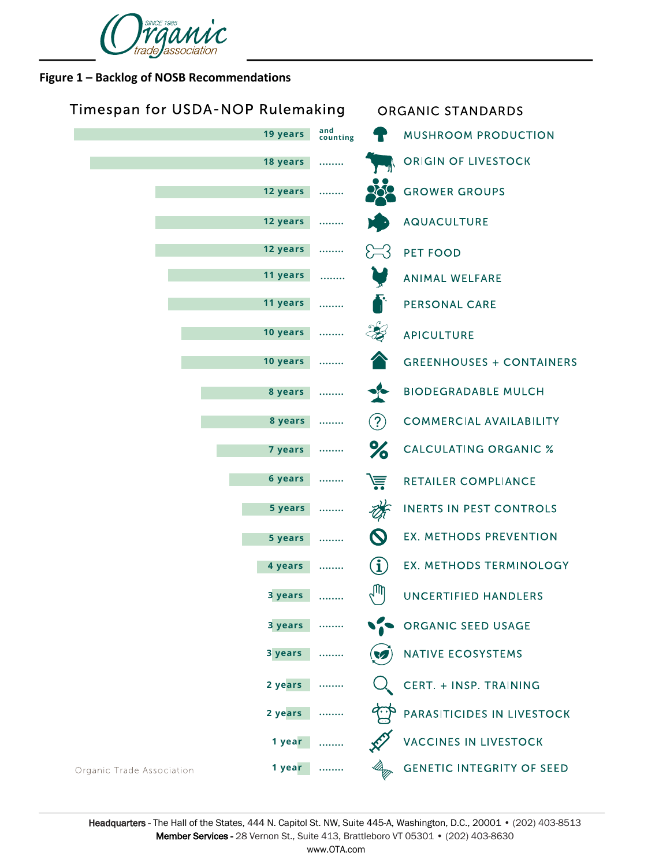

### **Figure 1 – Backlog of NOSB Recommendations**

| Timespan for USDA-NOP Rulemaking    |                 |                            | ORGANIC STANDARDS                |  |
|-------------------------------------|-----------------|----------------------------|----------------------------------|--|
| 19 years                            | and<br>counting |                            | <b>MUSHROOM PRODUCTION</b>       |  |
| 18 years                            |                 |                            | ORIGIN OF LIVESTOCK              |  |
| 12 years                            |                 |                            | <b>GROWER GROUPS</b>             |  |
| 12 years                            |                 |                            | AQUACULTURE                      |  |
| 12 years                            | .               | $\sum$                     | PET FOOD                         |  |
| 11 years                            |                 |                            | ANIMAL WELFARE                   |  |
| 11 years                            | .               |                            | <b>PERSONAL CARE</b>             |  |
| 10 years                            | .               |                            | <b>APICULTURE</b>                |  |
| 10 years                            | .               |                            | <b>GREENHOUSES + CONTAINERS</b>  |  |
| 8 years                             |                 | $\bullet$                  | <b>BIODEGRADABLE MULCH</b>       |  |
| 8 years                             |                 | (2)                        | <b>COMMERCIAL AVAILABILITY</b>   |  |
| 7 years                             | .               | %                          | <b>CALCULATING ORGANIC %</b>     |  |
| 6 years                             | .               | 崖                          | RETAILER COMPLIANCE              |  |
| 5 years                             |                 |                            | <b>INERTS IN PEST CONTROLS</b>   |  |
| 5 years                             |                 | $\boldsymbol{\mathcal{O}}$ | EX. METHODS PREVENTION           |  |
| 4 years                             |                 | $\mathbf i$                | <b>EX. METHODS TERMINOLOGY</b>   |  |
| 3 years                             |                 | $\mathbb{M}_{\gamma}$      | <b>UNCERTIFIED HANDLERS</b>      |  |
| 3 years                             |                 |                            | ORGANIC SEED USAGE               |  |
| 3 years                             |                 |                            | <b>NATIVE ECOSYSTEMS</b>         |  |
| 2 years                             |                 |                            | CERT. + INSP. TRAINING           |  |
| 2 years                             |                 |                            | PARASITICIDES IN LIVESTOCK       |  |
| 1 year                              |                 |                            | <b>VACCINES IN LIVESTOCK</b>     |  |
| 1 year<br>Organic Trade Association |                 |                            | <b>GENETIC INTEGRITY OF SEED</b> |  |

Headquarters - The Hall of the States, 444 N. Capitol St. NW, Suite 445-A, Washington, D.C., 20001 • (202) 403-8513 Member Services - 28 Vernon St., Suite 413, Brattleboro VT 05301 • (202) 403-8630 www.OTA.com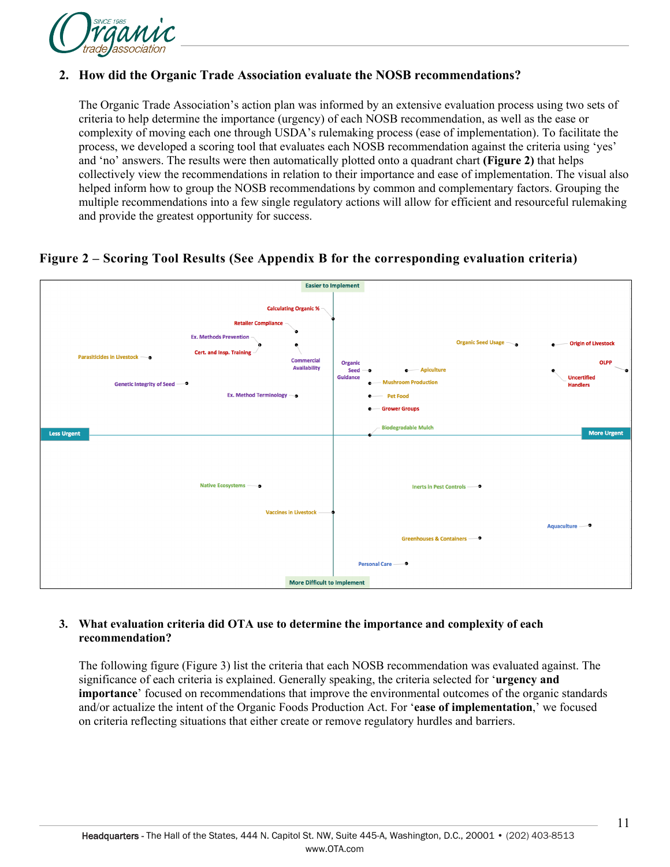

### **2. How did the Organic Trade Association evaluate the NOSB recommendations?**

The Organic Trade Association's action plan was informed by an extensive evaluation process using two sets of criteria to help determine the importance (urgency) of each NOSB recommendation, as well as the ease or complexity of moving each one through USDA's rulemaking process (ease of implementation). To facilitate the process, we developed a scoring tool that evaluates each NOSB recommendation against the criteria using 'yes' and 'no' answers. The results were then automatically plotted onto a quadrant chart **(Figure 2)** that helps collectively view the recommendations in relation to their importance and ease of implementation. The visual also helped inform how to group the NOSB recommendations by common and complementary factors. Grouping the multiple recommendations into a few single regulatory actions will allow for efficient and resourceful rulemaking and provide the greatest opportunity for success.

### **Figure 2 – Scoring Tool Results (See Appendix B for the corresponding evaluation criteria)**



#### **3. What evaluation criteria did OTA use to determine the importance and complexity of each recommendation?**

The following figure (Figure 3) list the criteria that each NOSB recommendation was evaluated against. The significance of each criteria is explained. Generally speaking, the criteria selected for '**urgency and importance**' focused on recommendations that improve the environmental outcomes of the organic standards and/or actualize the intent of the Organic Foods Production Act. For '**ease of implementation**,' we focused on criteria reflecting situations that either create or remove regulatory hurdles and barriers.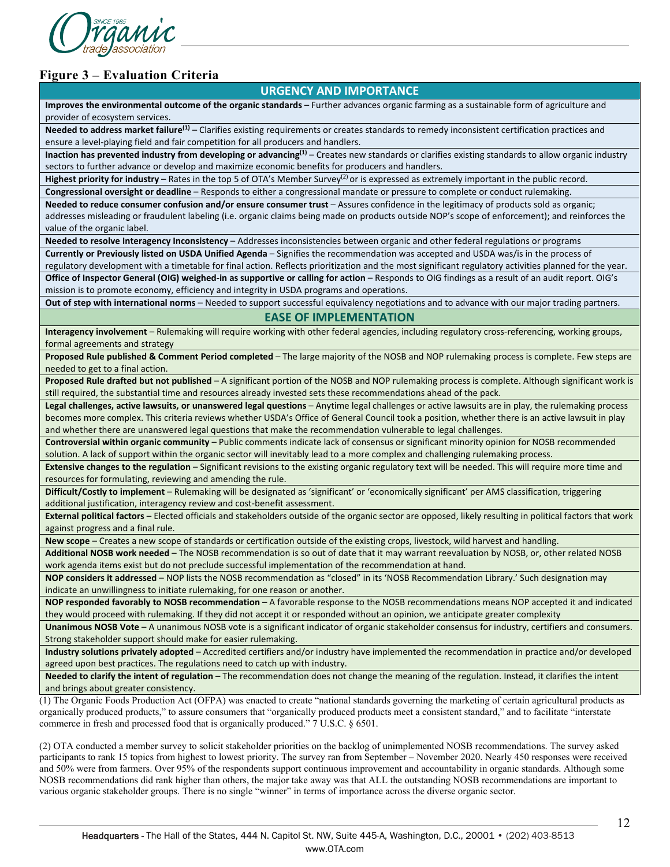

### **Figure 3 – Evaluation Criteria**

#### **URGENCY AND IMPORTANCE**

**Improves the environmental outcome of the organic standards** – Further advances organic farming as a sustainable form of agriculture and provider of ecosystem services.

**Needed to address market failure(1)** – Clarifies existing requirements or creates standards to remedy inconsistent certification practices and ensure a level-playing field and fair competition for all producers and handlers.

Inaction has prevented industry from developing or advancing<sup>(1)</sup> – Creates new standards or clarifies existing standards to allow organic industry sectors to further advance or develop and maximize economic benefits for producers and handlers.

Highest priority for industry – Rates in the top 5 of OTA's Member Survey<sup>(2)</sup> or is expressed as extremely important in the public record.

**Congressional oversight or deadline** – Responds to either a congressional mandate or pressure to complete or conduct rulemaking. **Needed to reduce consumer confusion and/or ensure consumer trust** – Assures confidence in the legitimacy of products sold as organic; addresses misleading or fraudulent labeling (i.e. organic claims being made on products outside NOP's scope of enforcement); and reinforces the value of the organic label.

**Needed to resolve Interagency Inconsistency** – Addresses inconsistencies between organic and other federal regulations or programs

**Currently or Previously listed on USDA Unified Agenda** – Signifies the recommendation was accepted and USDA was/is in the process of regulatory development with a timetable for final action. Reflects prioritization and the most significant regulatory activities planned for the year.

**Office of Inspector General (OIG) weighed-in as supportive or calling for action** – Responds to OIG findings as a result of an audit report. OIG's mission is to promote economy, efficiency and integrity in USDA programs and operations.

**Out of step with international norms** – Needed to support successful equivalency negotiations and to advance with our major trading partners.

#### **EASE OF IMPLEMENTATION**

**Interagency involvement** – Rulemaking will require working with other federal agencies, including regulatory cross-referencing, working groups, formal agreements and strategy

**Proposed Rule published & Comment Period completed** – The large majority of the NOSB and NOP rulemaking process is complete. Few steps are needed to get to a final action.

**Proposed Rule drafted but not published** – A significant portion of the NOSB and NOP rulemaking process is complete. Although significant work is still required, the substantial time and resources already invested sets these recommendations ahead of the pack.

**Legal challenges, active lawsuits, or unanswered legal questions** – Anytime legal challenges or active lawsuits are in play, the rulemaking process becomes more complex. This criteria reviews whether USDA's Office of General Council took a position, whether there is an active lawsuit in play and whether there are unanswered legal questions that make the recommendation vulnerable to legal challenges.

**Controversial within organic community** – Public comments indicate lack of consensus or significant minority opinion for NOSB recommended solution. A lack of support within the organic sector will inevitably lead to a more complex and challenging rulemaking process.

**Extensive changes to the regulation** – Significant revisions to the existing organic regulatory text will be needed. This will require more time and resources for formulating, reviewing and amending the rule.

**Difficult/Costly to implement** – Rulemaking will be designated as 'significant' or 'economically significant' per AMS classification, triggering additional justification, interagency review and cost-benefit assessment.

**External political factors** – Elected officials and stakeholders outside of the organic sector are opposed, likely resulting in political factors that work against progress and a final rule.

**New scope** – Creates a new scope of standards or certification outside of the existing crops, livestock, wild harvest and handling.

**Additional NOSB work needed** – The NOSB recommendation is so out of date that it may warrant reevaluation by NOSB, or, other related NOSB work agenda items exist but do not preclude successful implementation of the recommendation at hand.

**NOP considers it addressed** – NOP lists the NOSB recommendation as "closed" in its 'NOSB Recommendation Library.' Such designation may indicate an unwillingness to initiate rulemaking, for one reason or another.

**NOP responded favorably to NOSB recommendation** – A favorable response to the NOSB recommendations means NOP accepted it and indicated they would proceed with rulemaking. If they did not accept it or responded without an opinion, we anticipate greater complexity

**Unanimous NOSB Vote** – A unanimous NOSB vote is a significant indicator of organic stakeholder consensus for industry, certifiers and consumers. Strong stakeholder support should make for easier rulemaking.

**Industry solutions privately adopted** – Accredited certifiers and/or industry have implemented the recommendation in practice and/or developed agreed upon best practices. The regulations need to catch up with industry.

**Needed to clarify the intent of regulation** – The recommendation does not change the meaning of the regulation. Instead, it clarifies the intent and brings about greater consistency.

(1) The Organic Foods Production Act (OFPA) was enacted to create "national standards governing the marketing of certain agricultural products as organically produced products," to assure consumers that "organically produced products meet a consistent standard," and to facilitate "interstate commerce in fresh and processed food that is organically produced." 7 U.S.C. § 6501.

(2) OTA conducted a member survey to solicit stakeholder priorities on the backlog of unimplemented NOSB recommendations. The survey asked participants to rank 15 topics from highest to lowest priority. The survey ran from September – November 2020. Nearly 450 responses were received and 50% were from farmers. Over 95% of the respondents support continuous improvement and accountability in organic standards. Although some NOSB recommendations did rank higher than others, the major take away was that ALL the outstanding NOSB recommendations are important to various organic stakeholder groups. There is no single "winner" in terms of importance across the diverse organic sector.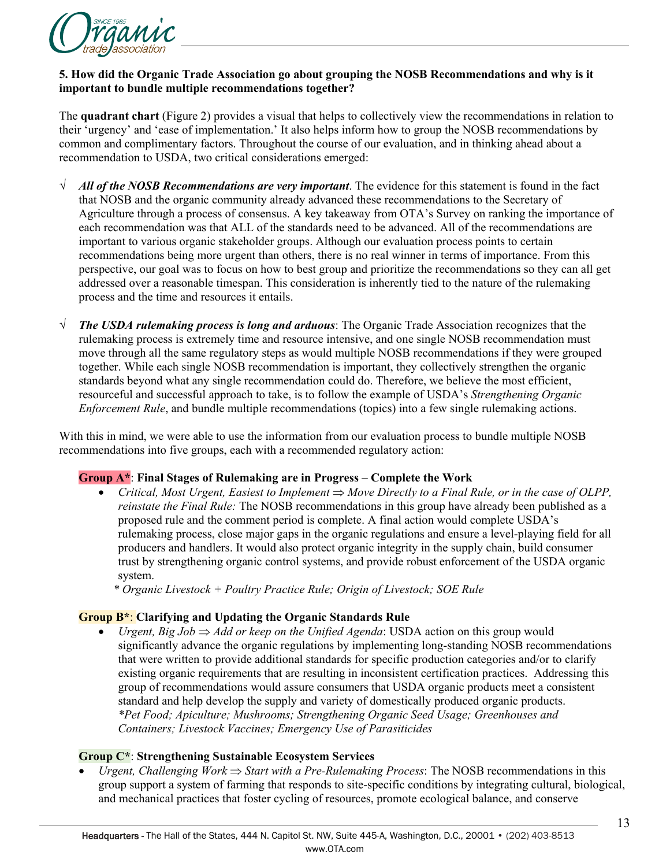

#### **5. How did the Organic Trade Association go about grouping the NOSB Recommendations and why is it important to bundle multiple recommendations together?**

The **quadrant chart** (Figure 2) provides a visual that helps to collectively view the recommendations in relation to their 'urgency' and 'ease of implementation.' It also helps inform how to group the NOSB recommendations by common and complimentary factors. Throughout the course of our evaluation, and in thinking ahead about a recommendation to USDA, two critical considerations emerged:

- √ *All of the NOSB Recommendations are very important*. The evidence for this statement is found in the fact that NOSB and the organic community already advanced these recommendations to the Secretary of Agriculture through a process of consensus. A key takeaway from OTA's Survey on ranking the importance of each recommendation was that ALL of the standards need to be advanced. All of the recommendations are important to various organic stakeholder groups. Although our evaluation process points to certain recommendations being more urgent than others, there is no real winner in terms of importance. From this perspective, our goal was to focus on how to best group and prioritize the recommendations so they can all get addressed over a reasonable timespan. This consideration is inherently tied to the nature of the rulemaking process and the time and resources it entails.
- √ *The USDA rulemaking process is long and arduous*: The Organic Trade Association recognizes that the rulemaking process is extremely time and resource intensive, and one single NOSB recommendation must move through all the same regulatory steps as would multiple NOSB recommendations if they were grouped together. While each single NOSB recommendation is important, they collectively strengthen the organic standards beyond what any single recommendation could do. Therefore, we believe the most efficient, resourceful and successful approach to take, is to follow the example of USDA's *Strengthening Organic Enforcement Rule*, and bundle multiple recommendations (topics) into a few single rulemaking actions.

With this in mind, we were able to use the information from our evaluation process to bundle multiple NOSB recommendations into five groups, each with a recommended regulatory action:

#### **Group A\***: **Final Stages of Rulemaking are in Progress – Complete the Work**

- *Critical, Most Urgent, Easiest to Implement* ⇒ *Move Directly to a Final Rule, or in the case of OLPP, reinstate the Final Rule:* The NOSB recommendations in this group have already been published as a proposed rule and the comment period is complete. A final action would complete USDA's rulemaking process, close major gaps in the organic regulations and ensure a level-playing field for all producers and handlers. It would also protect organic integrity in the supply chain, build consumer trust by strengthening organic control systems, and provide robust enforcement of the USDA organic system.
	- *\* Organic Livestock + Poultry Practice Rule; Origin of Livestock; SOE Rule*

#### **Group B\***: **Clarifying and Updating the Organic Standards Rule**

• *Urgent, Big Job* ⇒ *Add or keep on the Unified Agenda*: USDA action on this group would significantly advance the organic regulations by implementing long-standing NOSB recommendations that were written to provide additional standards for specific production categories and/or to clarify existing organic requirements that are resulting in inconsistent certification practices. Addressing this group of recommendations would assure consumers that USDA organic products meet a consistent standard and help develop the supply and variety of domestically produced organic products. *\*Pet Food; Apiculture; Mushrooms; Strengthening Organic Seed Usage; Greenhouses and Containers; Livestock Vaccines; Emergency Use of Parasiticides*

#### **Group C\***: **Strengthening Sustainable Ecosystem Services**

• *Urgent, Challenging Work* ⇒ *Start with a Pre-Rulemaking Process*: The NOSB recommendations in this group support a system of farming that responds to site-specific conditions by integrating cultural, biological, and mechanical practices that foster cycling of resources, promote ecological balance, and conserve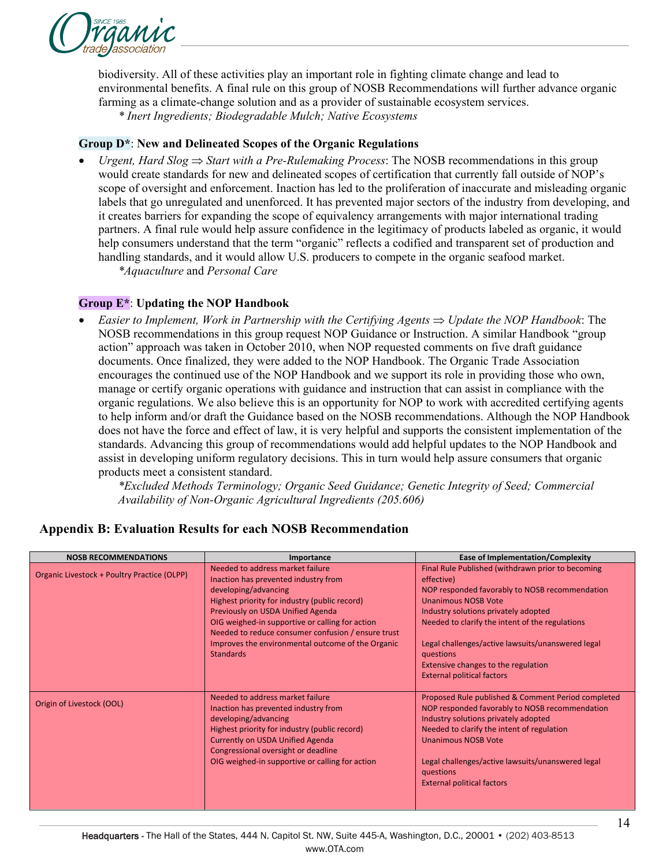

biodiversity. All of these activities play an important role in fighting climate change and lead to environmental benefits. A final rule on this group of NOSB Recommendations will further advance organic farming as a climate-change solution and as a provider of sustainable ecosystem services.

*\* Inert Ingredients; Biodegradable Mulch; Native Ecosystems*

#### **Group D\***: **New and Delineated Scopes of the Organic Regulations**

• *Urgent, Hard Slog* ⇒ *Start with a Pre-Rulemaking Process*: The NOSB recommendations in this group would create standards for new and delineated scopes of certification that currently fall outside of NOP's scope of oversight and enforcement. Inaction has led to the proliferation of inaccurate and misleading organic labels that go unregulated and unenforced. It has prevented major sectors of the industry from developing, and it creates barriers for expanding the scope of equivalency arrangements with major international trading partners. A final rule would help assure confidence in the legitimacy of products labeled as organic, it would help consumers understand that the term "organic" reflects a codified and transparent set of production and handling standards, and it would allow U.S. producers to compete in the organic seafood market.

*\*Aquaculture* and *Personal Care*

#### **Group E\***: **Updating the NOP Handbook**

• *Easier to Implement, Work in Partnership with the Certifying Agents* ⇒ *Update the NOP Handbook*: The NOSB recommendations in this group request NOP Guidance or Instruction. A similar Handbook "group action" approach was taken in October 2010, when NOP requested comments on five draft guidance documents. Once finalized, they were added to the NOP Handbook. The Organic Trade Association encourages the continued use of the NOP Handbook and we support its role in providing those who own, manage or certify organic operations with guidance and instruction that can assist in compliance with the organic regulations. We also believe this is an opportunity for NOP to work with accredited certifying agents to help inform and/or draft the Guidance based on the NOSB recommendations. Although the NOP Handbook does not have the force and effect of law, it is very helpful and supports the consistent implementation of the standards. Advancing this group of recommendations would add helpful updates to the NOP Handbook and assist in developing uniform regulatory decisions. This in turn would help assure consumers that organic products meet a consistent standard.

*\*Excluded Methods Terminology; Organic Seed Guidance; Genetic Integrity of Seed; Commercial Availability of Non-Organic Agricultural Ingredients (205.606)*

| <b>NOSB RECOMMENDATIONS</b>                 | Importance                                                                                                                                                                                                                                                                                                                                                               | <b>Ease of Implementation/Complexity</b>                                                                                                                                                                                                                                                                                                                                                 |
|---------------------------------------------|--------------------------------------------------------------------------------------------------------------------------------------------------------------------------------------------------------------------------------------------------------------------------------------------------------------------------------------------------------------------------|------------------------------------------------------------------------------------------------------------------------------------------------------------------------------------------------------------------------------------------------------------------------------------------------------------------------------------------------------------------------------------------|
| Organic Livestock + Poultry Practice (OLPP) | Needed to address market failure<br>Inaction has prevented industry from<br>developing/advancing<br>Highest priority for industry (public record)<br>Previously on USDA Unified Agenda<br>OIG weighed-in supportive or calling for action<br>Needed to reduce consumer confusion / ensure trust<br>Improves the environmental outcome of the Organic<br><b>Standards</b> | Final Rule Published (withdrawn prior to becoming<br>effective)<br>NOP responded favorably to NOSB recommendation<br><b>Unanimous NOSB Vote</b><br>Industry solutions privately adopted<br>Needed to clarify the intent of the regulations<br>Legal challenges/active lawsuits/unanswered legal<br>questions<br>Extensive changes to the regulation<br><b>External political factors</b> |
| Origin of Livestock (OOL)                   | Needed to address market failure<br>Inaction has prevented industry from<br>developing/advancing<br>Highest priority for industry (public record)<br><b>Currently on USDA Unified Agenda</b><br>Congressional oversight or deadline<br>OIG weighed-in supportive or calling for action                                                                                   | Proposed Rule published & Comment Period completed<br>NOP responded favorably to NOSB recommendation<br>Industry solutions privately adopted<br>Needed to clarify the intent of regulation<br>Unanimous NOSB Vote<br>Legal challenges/active lawsuits/unanswered legal<br>questions<br><b>External political factors</b>                                                                 |

#### **Appendix B: Evaluation Results for each NOSB Recommendation**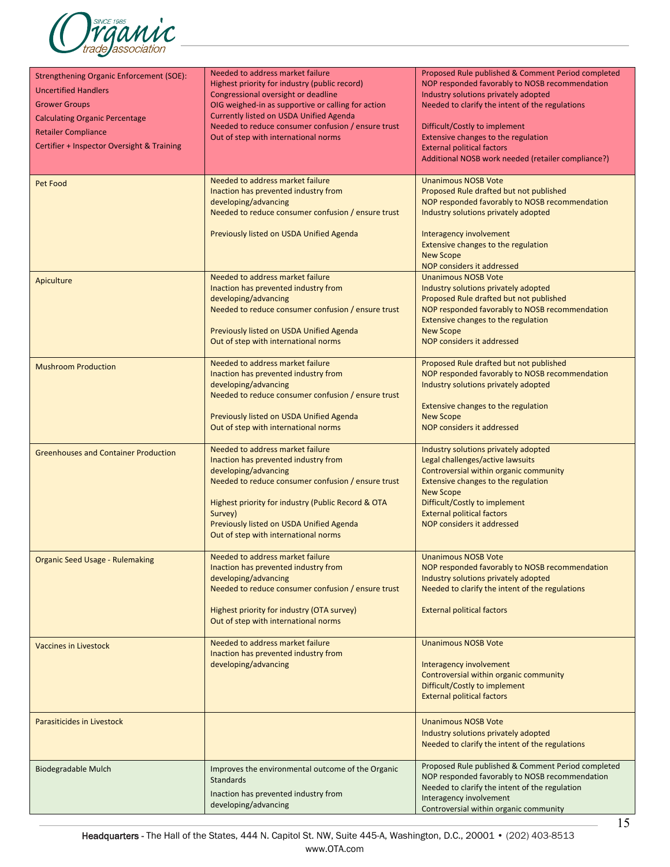

| <b>Strengthening Organic Enforcement (SOE):</b><br><b>Uncertified Handlers</b><br><b>Grower Groups</b><br><b>Calculating Organic Percentage</b><br><b>Retailer Compliance</b><br>Certifier + Inspector Oversight & Training | Needed to address market failure<br>Highest priority for industry (public record)<br>Congressional oversight or deadline<br>OIG weighed-in as supportive or calling for action<br>Currently listed on USDA Unified Agenda<br>Needed to reduce consumer confusion / ensure trust<br>Out of step with international norms | Proposed Rule published & Comment Period completed<br>NOP responded favorably to NOSB recommendation<br>Industry solutions privately adopted<br>Needed to clarify the intent of the regulations<br>Difficult/Costly to implement<br>Extensive changes to the regulation<br><b>External political factors</b><br>Additional NOSB work needed (retailer compliance?) |
|-----------------------------------------------------------------------------------------------------------------------------------------------------------------------------------------------------------------------------|-------------------------------------------------------------------------------------------------------------------------------------------------------------------------------------------------------------------------------------------------------------------------------------------------------------------------|--------------------------------------------------------------------------------------------------------------------------------------------------------------------------------------------------------------------------------------------------------------------------------------------------------------------------------------------------------------------|
| Pet Food                                                                                                                                                                                                                    | Needed to address market failure<br>Inaction has prevented industry from<br>developing/advancing<br>Needed to reduce consumer confusion / ensure trust<br>Previously listed on USDA Unified Agenda                                                                                                                      | <b>Unanimous NOSB Vote</b><br>Proposed Rule drafted but not published<br>NOP responded favorably to NOSB recommendation<br>Industry solutions privately adopted<br>Interagency involvement<br>Extensive changes to the regulation<br><b>New Scope</b><br>NOP considers it addressed                                                                                |
| Apiculture                                                                                                                                                                                                                  | Needed to address market failure<br>Inaction has prevented industry from<br>developing/advancing<br>Needed to reduce consumer confusion / ensure trust<br>Previously listed on USDA Unified Agenda<br>Out of step with international norms                                                                              | <b>Unanimous NOSB Vote</b><br>Industry solutions privately adopted<br>Proposed Rule drafted but not published<br>NOP responded favorably to NOSB recommendation<br>Extensive changes to the regulation<br><b>New Scope</b><br>NOP considers it addressed                                                                                                           |
| <b>Mushroom Production</b>                                                                                                                                                                                                  | Needed to address market failure<br>Inaction has prevented industry from<br>developing/advancing<br>Needed to reduce consumer confusion / ensure trust<br>Previously listed on USDA Unified Agenda<br>Out of step with international norms                                                                              | Proposed Rule drafted but not published<br>NOP responded favorably to NOSB recommendation<br>Industry solutions privately adopted<br>Extensive changes to the regulation<br><b>New Scope</b><br>NOP considers it addressed                                                                                                                                         |
| <b>Greenhouses and Container Production</b>                                                                                                                                                                                 | Needed to address market failure<br>Inaction has prevented industry from<br>developing/advancing<br>Needed to reduce consumer confusion / ensure trust<br>Highest priority for industry (Public Record & OTA<br>Survey)<br>Previously listed on USDA Unified Agenda<br>Out of step with international norms             | Industry solutions privately adopted<br>Legal challenges/active lawsuits<br>Controversial within organic community<br>Extensive changes to the regulation<br><b>New Scope</b><br>Difficult/Costly to implement<br><b>External political factors</b><br>NOP considers it addressed                                                                                  |
| <b>Organic Seed Usage - Rulemaking</b>                                                                                                                                                                                      | Needed to address market failure<br>Inaction has prevented industry from<br>developing/advancing<br>Needed to reduce consumer confusion / ensure trust<br>Highest priority for industry (OTA survey)<br>Out of step with international norms                                                                            | <b>Unanimous NOSB Vote</b><br>NOP responded favorably to NOSB recommendation<br>Industry solutions privately adopted<br>Needed to clarify the intent of the regulations<br><b>External political factors</b>                                                                                                                                                       |
| <b>Vaccines in Livestock</b>                                                                                                                                                                                                | Needed to address market failure<br>Inaction has prevented industry from<br>developing/advancing                                                                                                                                                                                                                        | <b>Unanimous NOSB Vote</b><br>Interagency involvement<br>Controversial within organic community<br>Difficult/Costly to implement<br><b>External political factors</b>                                                                                                                                                                                              |
| Parasiticides in Livestock                                                                                                                                                                                                  |                                                                                                                                                                                                                                                                                                                         | <b>Unanimous NOSB Vote</b><br>Industry solutions privately adopted<br>Needed to clarify the intent of the regulations                                                                                                                                                                                                                                              |
| Biodegradable Mulch                                                                                                                                                                                                         | Improves the environmental outcome of the Organic<br><b>Standards</b><br>Inaction has prevented industry from<br>developing/advancing                                                                                                                                                                                   | Proposed Rule published & Comment Period completed<br>NOP responded favorably to NOSB recommendation<br>Needed to clarify the intent of the regulation<br>Interagency involvement<br>Controversial within organic community                                                                                                                                        |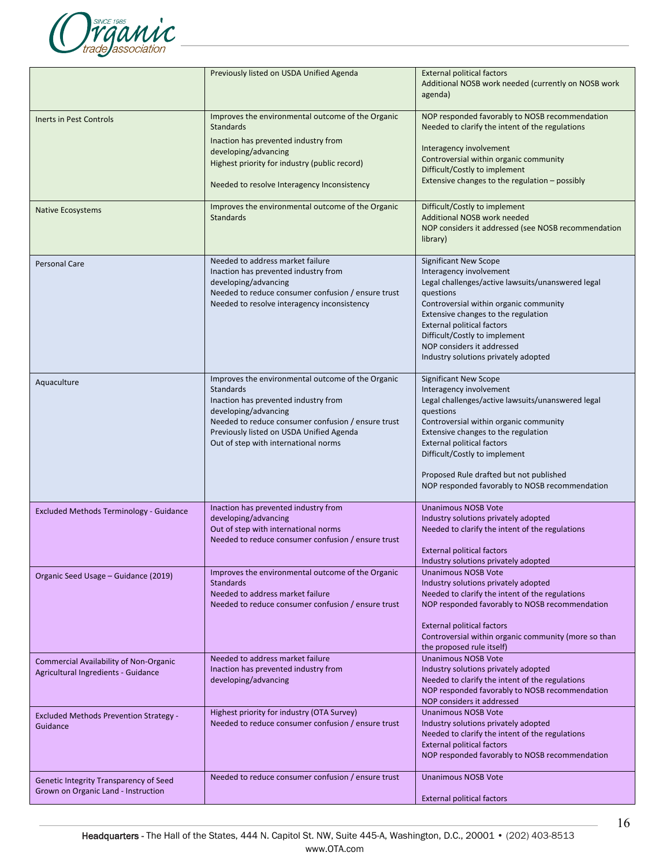

|                                                                                      | Previously listed on USDA Unified Agenda                                                                                                                                                                                                                                        | <b>External political factors</b><br>Additional NOSB work needed (currently on NOSB work<br>agenda)                                                                                                                                                                                                                                                                           |
|--------------------------------------------------------------------------------------|---------------------------------------------------------------------------------------------------------------------------------------------------------------------------------------------------------------------------------------------------------------------------------|-------------------------------------------------------------------------------------------------------------------------------------------------------------------------------------------------------------------------------------------------------------------------------------------------------------------------------------------------------------------------------|
| Inerts in Pest Controls                                                              | Improves the environmental outcome of the Organic<br><b>Standards</b><br>Inaction has prevented industry from<br>developing/advancing<br>Highest priority for industry (public record)<br>Needed to resolve Interagency Inconsistency                                           | NOP responded favorably to NOSB recommendation<br>Needed to clarify the intent of the regulations<br>Interagency involvement<br>Controversial within organic community<br>Difficult/Costly to implement<br>Extensive changes to the regulation - possibly                                                                                                                     |
| <b>Native Ecosystems</b>                                                             | Improves the environmental outcome of the Organic<br><b>Standards</b>                                                                                                                                                                                                           | Difficult/Costly to implement<br>Additional NOSB work needed<br>NOP considers it addressed (see NOSB recommendation<br>library)                                                                                                                                                                                                                                               |
| <b>Personal Care</b>                                                                 | Needed to address market failure<br>Inaction has prevented industry from<br>developing/advancing<br>Needed to reduce consumer confusion / ensure trust<br>Needed to resolve interagency inconsistency                                                                           | <b>Significant New Scope</b><br>Interagency involvement<br>Legal challenges/active lawsuits/unanswered legal<br>questions<br>Controversial within organic community<br>Extensive changes to the regulation<br><b>External political factors</b><br>Difficult/Costly to implement<br>NOP considers it addressed<br>Industry solutions privately adopted                        |
| Aquaculture                                                                          | Improves the environmental outcome of the Organic<br><b>Standards</b><br>Inaction has prevented industry from<br>developing/advancing<br>Needed to reduce consumer confusion / ensure trust<br>Previously listed on USDA Unified Agenda<br>Out of step with international norms | <b>Significant New Scope</b><br>Interagency involvement<br>Legal challenges/active lawsuits/unanswered legal<br>questions<br>Controversial within organic community<br>Extensive changes to the regulation<br><b>External political factors</b><br>Difficult/Costly to implement<br>Proposed Rule drafted but not published<br>NOP responded favorably to NOSB recommendation |
| <b>Excluded Methods Terminology - Guidance</b>                                       | Inaction has prevented industry from<br>developing/advancing<br>Out of step with international norms<br>Needed to reduce consumer confusion / ensure trust                                                                                                                      | <b>Unanimous NOSB Vote</b><br>Industry solutions privately adopted<br>Needed to clarify the intent of the regulations<br><b>External political factors</b><br>Industry solutions privately adopted                                                                                                                                                                            |
| Organic Seed Usage - Guidance (2019)                                                 | Improves the environmental outcome of the Organic<br><b>Standards</b><br>Needed to address market failure<br>Needed to reduce consumer confusion / ensure trust                                                                                                                 | <b>Unanimous NOSB Vote</b><br>Industry solutions privately adopted<br>Needed to clarify the intent of the regulations<br>NOP responded favorably to NOSB recommendation<br><b>External political factors</b><br>Controversial within organic community (more so than<br>the proposed rule itself)                                                                             |
| <b>Commercial Availability of Non-Organic</b><br>Agricultural Ingredients - Guidance | Needed to address market failure<br>Inaction has prevented industry from<br>developing/advancing                                                                                                                                                                                | <b>Unanimous NOSB Vote</b><br>Industry solutions privately adopted<br>Needed to clarify the intent of the regulations<br>NOP responded favorably to NOSB recommendation<br>NOP considers it addressed                                                                                                                                                                         |
| <b>Excluded Methods Prevention Strategy -</b><br>Guidance                            | Highest priority for industry (OTA Survey)<br>Needed to reduce consumer confusion / ensure trust                                                                                                                                                                                | <b>Unanimous NOSB Vote</b><br>Industry solutions privately adopted<br>Needed to clarify the intent of the regulations<br><b>External political factors</b><br>NOP responded favorably to NOSB recommendation                                                                                                                                                                  |
| Genetic Integrity Transparency of Seed<br>Grown on Organic Land - Instruction        | Needed to reduce consumer confusion / ensure trust                                                                                                                                                                                                                              | <b>Unanimous NOSB Vote</b><br><b>External political factors</b>                                                                                                                                                                                                                                                                                                               |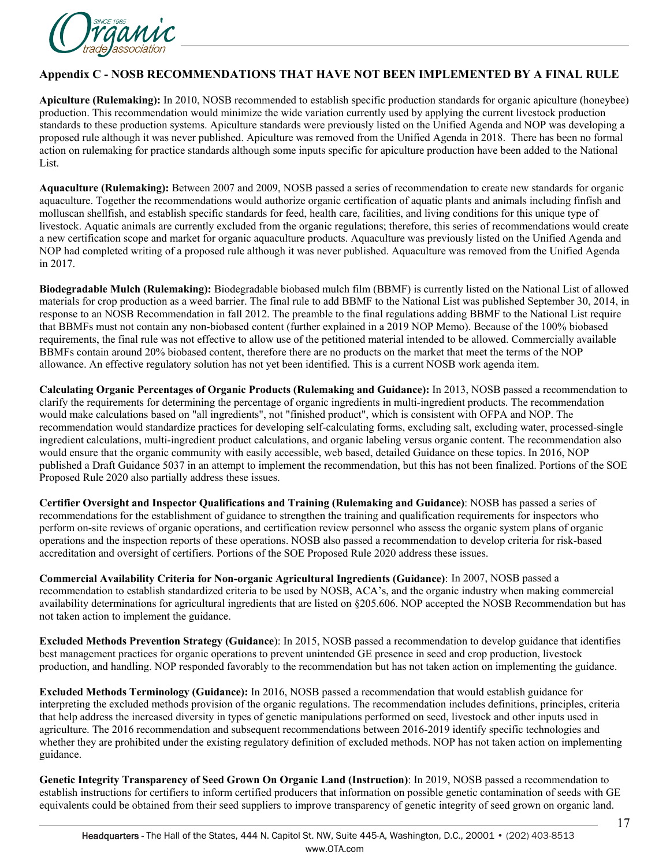

#### **Appendix C - NOSB RECOMMENDATIONS THAT HAVE NOT BEEN IMPLEMENTED BY A FINAL RULE**

**Apiculture (Rulemaking):** In 2010, NOSB recommended to establish specific production standards for organic apiculture (honeybee) production. This recommendation would minimize the wide variation currently used by applying the current livestock production standards to these production systems. Apiculture standards were previously listed on the Unified Agenda and NOP was developing a proposed rule although it was never published. Apiculture was removed from the Unified Agenda in 2018. There has been no formal action on rulemaking for practice standards although some inputs specific for apiculture production have been added to the National List.

**Aquaculture (Rulemaking):** Between 2007 and 2009, NOSB passed a series of recommendation to create new standards for organic aquaculture. Together the recommendations would authorize organic certification of aquatic plants and animals including finfish and molluscan shellfish, and establish specific standards for feed, health care, facilities, and living conditions for this unique type of livestock. Aquatic animals are currently excluded from the organic regulations; therefore, this series of recommendations would create a new certification scope and market for organic aquaculture products. Aquaculture was previously listed on the Unified Agenda and NOP had completed writing of a proposed rule although it was never published. Aquaculture was removed from the Unified Agenda in 2017.

**Biodegradable Mulch (Rulemaking):** Biodegradable biobased mulch film (BBMF) is currently listed on the National List of allowed materials for crop production as a weed barrier. The final rule to add BBMF to the National List was published September 30, 2014, in response to an NOSB Recommendation in fall 2012. The preamble to the final regulations adding BBMF to the National List require that BBMFs must not contain any non-biobased content (further explained in a 2019 NOP Memo). Because of the 100% biobased requirements, the final rule was not effective to allow use of the petitioned material intended to be allowed. Commercially available BBMFs contain around 20% biobased content, therefore there are no products on the market that meet the terms of the NOP allowance. An effective regulatory solution has not yet been identified. This is a current NOSB work agenda item.

**Calculating Organic Percentages of Organic Products (Rulemaking and Guidance):** In 2013, NOSB passed a recommendation to clarify the requirements for determining the percentage of organic ingredients in multi-ingredient products. The recommendation would make calculations based on "all ingredients", not "finished product", which is consistent with OFPA and NOP. The recommendation would standardize practices for developing self-calculating forms, excluding salt, excluding water, processed-single ingredient calculations, multi-ingredient product calculations, and organic labeling versus organic content. The recommendation also would ensure that the organic community with easily accessible, web based, detailed Guidance on these topics. In 2016, NOP published a Draft Guidance 5037 in an attempt to implement the recommendation, but this has not been finalized. Portions of the SOE Proposed Rule 2020 also partially address these issues.

**Certifier Oversight and Inspector Qualifications and Training (Rulemaking and Guidance)**: NOSB has passed a series of recommendations for the establishment of guidance to strengthen the training and qualification requirements for inspectors who perform on-site reviews of organic operations, and certification review personnel who assess the organic system plans of organic operations and the inspection reports of these operations. NOSB also passed a recommendation to develop criteria for risk-based accreditation and oversight of certifiers. Portions of the SOE Proposed Rule 2020 address these issues.

**Commercial Availability Criteria for Non-organic Agricultural Ingredients (Guidance)**: In 2007, NOSB passed a recommendation to establish standardized criteria to be used by NOSB, ACA's, and the organic industry when making commercial availability determinations for agricultural ingredients that are listed on §205.606. NOP accepted the NOSB Recommendation but has not taken action to implement the guidance.

**Excluded Methods Prevention Strategy (Guidance**): In 2015, NOSB passed a recommendation to develop guidance that identifies best management practices for organic operations to prevent unintended GE presence in seed and crop production, livestock production, and handling. NOP responded favorably to the recommendation but has not taken action on implementing the guidance.

**Excluded Methods Terminology (Guidance):** In 2016, NOSB passed a recommendation that would establish guidance for interpreting the excluded methods provision of the organic regulations. The recommendation includes definitions, principles, criteria that help address the increased diversity in types of genetic manipulations performed on seed, livestock and other inputs used in agriculture. The 2016 recommendation and subsequent recommendations between 2016-2019 identify specific technologies and whether they are prohibited under the existing regulatory definition of excluded methods. NOP has not taken action on implementing guidance.

**Genetic Integrity Transparency of Seed Grown On Organic Land (Instruction)**: In 2019, NOSB passed a recommendation to establish instructions for certifiers to inform certified producers that information on possible genetic contamination of seeds with GE equivalents could be obtained from their seed suppliers to improve transparency of genetic integrity of seed grown on organic land.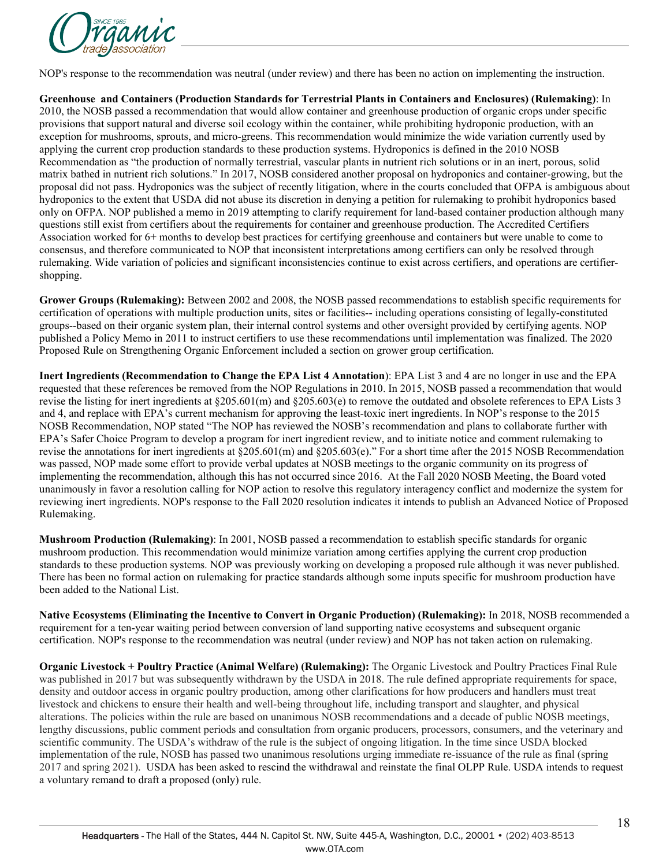

NOP's response to the recommendation was neutral (under review) and there has been no action on implementing the instruction.

**Greenhouse and Containers (Production Standards for Terrestrial Plants in Containers and Enclosures) (Rulemaking)**: In 2010, the NOSB passed a recommendation that would allow container and greenhouse production of organic crops under specific provisions that support natural and diverse soil ecology within the container, while prohibiting hydroponic production, with an exception for mushrooms, sprouts, and micro-greens. This recommendation would minimize the wide variation currently used by applying the current crop production standards to these production systems. Hydroponics is defined in the 2010 NOSB Recommendation as "the production of normally terrestrial, vascular plants in nutrient rich solutions or in an inert, porous, solid matrix bathed in nutrient rich solutions." In 2017, NOSB considered another proposal on hydroponics and container-growing, but the proposal did not pass. Hydroponics was the subject of recently litigation, where in the courts concluded that OFPA is ambiguous about hydroponics to the extent that USDA did not abuse its discretion in denying a petition for rulemaking to prohibit hydroponics based only on OFPA. NOP published a memo in 2019 attempting to clarify requirement for land-based container production although many questions still exist from certifiers about the requirements for container and greenhouse production. The Accredited Certifiers Association worked for 6+ months to develop best practices for certifying greenhouse and containers but were unable to come to consensus, and therefore communicated to NOP that inconsistent interpretations among certifiers can only be resolved through rulemaking. Wide variation of policies and significant inconsistencies continue to exist across certifiers, and operations are certifiershopping.

**Grower Groups (Rulemaking):** Between 2002 and 2008, the NOSB passed recommendations to establish specific requirements for certification of operations with multiple production units, sites or facilities-- including operations consisting of legally-constituted groups--based on their organic system plan, their internal control systems and other oversight provided by certifying agents. NOP published a Policy Memo in 2011 to instruct certifiers to use these recommendations until implementation was finalized. The 2020 Proposed Rule on Strengthening Organic Enforcement included a section on grower group certification.

**Inert Ingredients (Recommendation to Change the EPA List 4 Annotation**): EPA List 3 and 4 are no longer in use and the EPA requested that these references be removed from the NOP Regulations in 2010. In 2015, NOSB passed a recommendation that would revise the listing for inert ingredients at §205.601(m) and §205.603(e) to remove the outdated and obsolete references to EPA Lists 3 and 4, and replace with EPA's current mechanism for approving the least-toxic inert ingredients. In NOP's response to the 2015 NOSB Recommendation, NOP stated "The NOP has reviewed the NOSB's recommendation and plans to collaborate further with EPA's Safer Choice Program to develop a program for inert ingredient review, and to initiate notice and comment rulemaking to revise the annotations for inert ingredients at §205.601(m) and §205.603(e)." For a short time after the 2015 NOSB Recommendation was passed, NOP made some effort to provide verbal updates at NOSB meetings to the organic community on its progress of implementing the recommendation, although this has not occurred since 2016. At the Fall 2020 NOSB Meeting, the Board voted unanimously in favor a resolution calling for NOP action to resolve this regulatory interagency conflict and modernize the system for reviewing inert ingredients. NOP's response to the Fall 2020 resolution indicates it intends to publish an Advanced Notice of Proposed Rulemaking.

**Mushroom Production (Rulemaking)**: In 2001, NOSB passed a recommendation to establish specific standards for organic mushroom production. This recommendation would minimize variation among certifies applying the current crop production standards to these production systems. NOP was previously working on developing a proposed rule although it was never published. There has been no formal action on rulemaking for practice standards although some inputs specific for mushroom production have been added to the National List.

**Native Ecosystems (Eliminating the Incentive to Convert in Organic Production) (Rulemaking):** In 2018, NOSB recommended a requirement for a ten-year waiting period between conversion of land supporting native ecosystems and subsequent organic certification. NOP's response to the recommendation was neutral (under review) and NOP has not taken action on rulemaking.

**Organic Livestock + Poultry Practice (Animal Welfare) (Rulemaking):** The Organic Livestock and Poultry Practices Final Rule was published in 2017 but was subsequently withdrawn by the USDA in 2018. The rule defined appropriate requirements for space, density and outdoor access in organic poultry production, among other clarifications for how producers and handlers must treat livestock and chickens to ensure their health and well-being throughout life, including transport and slaughter, and physical alterations. The policies within the rule are based on unanimous NOSB recommendations and a decade of public NOSB meetings, lengthy discussions, public comment periods and consultation from organic producers, processors, consumers, and the veterinary and scientific community. The USDA's withdraw of the rule is the subject of ongoing litigation. In the time since USDA blocked implementation of the rule, NOSB has passed two unanimous resolutions urging immediate re-issuance of the rule as final (spring 2017 and spring 2021). USDA has been asked to rescind the withdrawal and reinstate the final OLPP Rule. USDA intends to request a voluntary remand to draft a proposed (only) rule.